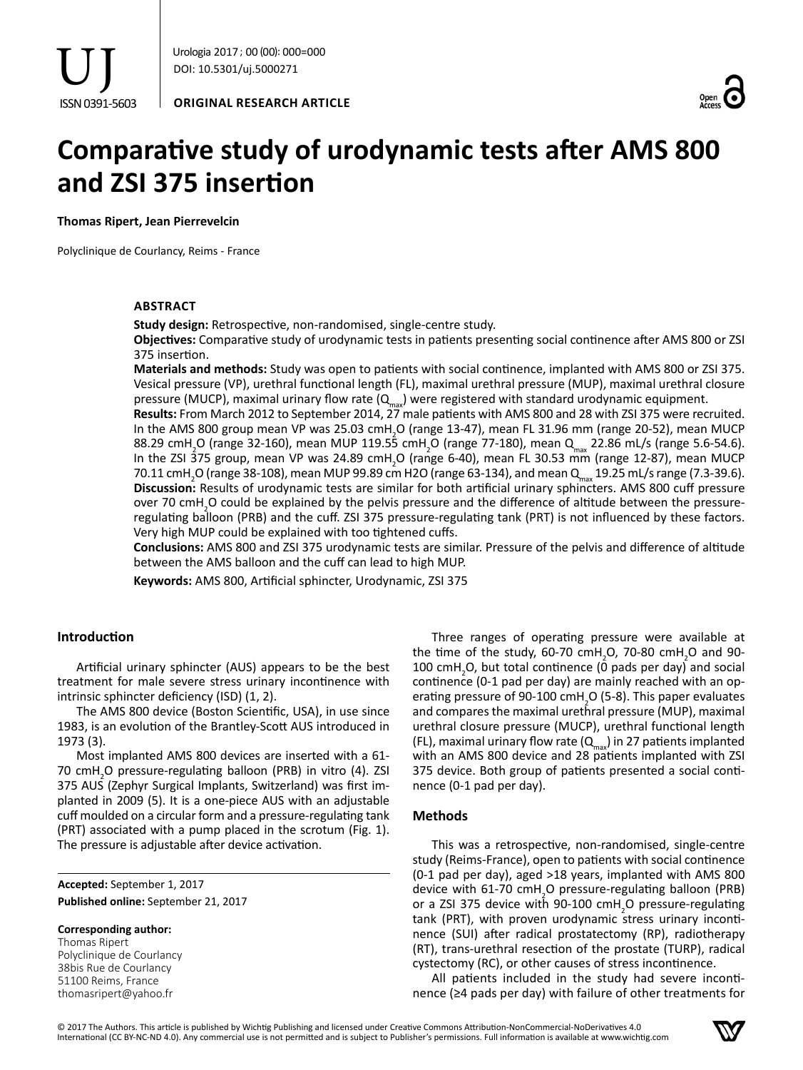



# **Comparative study of urodynamic tests after AMS 800 and ZSI 375 insertion**

**Thomas Ripert, Jean Pierrevelcin**

Polyclinique de Courlancy, Reims - France

## **ABSTRACT**

**Study design:** Retrospective, non-randomised, single-centre study.

**Objectives:** Comparative study of urodynamic tests in patients presenting social continence after AMS 800 or ZSI 375 insertion.

**Materials and methods:** Study was open to patients with social continence, implanted with AMS 800 or ZSI 375. Vesical pressure (VP), urethral functional length (FL), maximal urethral pressure (MUP), maximal urethral closure pressure (MUCP), maximal urinary flow rate  $(Q<sub>max</sub>)$  were registered with standard urodynamic equipment.

**Results:** From March 2012 to September 2014, 27 male patients with AMS 800 and 28 with ZSI 375 were recruited. In the AMS 800 group mean VP was 25.03 cmH<sub>2</sub>O (range 13-47), mean FL 31.96 mm (range 20-52), mean MUCP 88.29 cmH<sub>2</sub>O (range 32-160), mean MUP 119.55 cmH<sub>2</sub>O (range 77-180), mean Q<sub>max</sub> 22.86 mL/s (range 5.6-54.6). In the ZSI 375 group, mean VP was 24.89 cmH<sub>2</sub>O (range 6-40), mean FL 30.53 mm (range 12-87), mean MUCP 70.11 cmH<sub>2</sub>O (range 38-108), mean MUP 99.89 cm H2O (range 63-134), and mean Q<sub>max</sub> 19.25 mL/s range (7.3-39.6). **Discussion:** Results of urodynamic tests are similar for both artificial urinary sphincters. AMS 800 cuff pressure over 70 cmH<sub>2</sub>O could be explained by the pelvis pressure and the difference of altitude between the pressureregulating balloon (PRB) and the cuff. ZSI 375 pressure-regulating tank (PRT) is not influenced by these factors. Very high MUP could be explained with too tightened cuffs.

**Conclusions:** AMS 800 and ZSI 375 urodynamic tests are similar. Pressure of the pelvis and difference of altitude between the AMS balloon and the cuff can lead to high MUP.

**Keywords:** AMS 800, Artificial sphincter, Urodynamic, ZSI 375

# **Introduction**

Artificial urinary sphincter (AUS) appears to be the best treatment for male severe stress urinary incontinence with intrinsic sphincter deficiency (ISD) (1, 2).

The AMS 800 device (Boston Scientific, USA), in use since 1983, is an evolution of the Brantley-Scott AUS introduced in 1973 (3).

Most implanted AMS 800 devices are inserted with a 61- 70 cmH<sub>2</sub>O pressure-regulating balloon (PRB) in vitro (4). ZSI 375 AUS (Zephyr Surgical Implants, Switzerland) was first implanted in 2009 (5). It is a one-piece AUS with an adjustable cuff moulded on a circular form and a pressure-regulating tank (PRT) associated with a pump placed in the scrotum (Fig. 1). The pressure is adjustable after device activation.

**Accepted:** September 1, 2017 **Published online:** September 21, 2017

#### **Corresponding author:**

Thomas Ripert Polyclinique de Courlancy 38bis Rue de Courlancy 51100 Reims, France thomasripert@yahoo.fr

Three ranges of operating pressure were available at the time of the study, 60-70  $cmH_2$ O, 70-80  $cmH_2$ O and 90-100 cmH<sub>2</sub>O, but total continence ( $\overline{0}$  pads per day) and social continence (0-1 pad per day) are mainly reached with an operating pressure of 90-100  $\text{cm}H_{2}$ O (5-8). This paper evaluates and compares the maximal urethral pressure (MUP), maximal urethral closure pressure (MUCP), urethral functional length (FL), maximal urinary flow rate  $(Q<sub>max</sub>)$  in 27 patients implanted with an AMS 800 device and 28 patients implanted with ZSI 375 device. Both group of patients presented a social continence (0-1 pad per day).

### **Methods**

This was a retrospective, non-randomised, single-centre study (Reims-France), open to patients with social continence (0-1 pad per day), aged >18 years, implanted with AMS 800 device with 61-70 cmH<sub>2</sub>O pressure-regulating balloon (PRB) or a ZSI 375 device with 90-100 cmH<sub>2</sub>O pressure-regulating tank (PRT), with proven urodynamic stress urinary incontinence (SUI) after radical prostatectomy (RP), radiotherapy (RT), trans-urethral resection of the prostate (TURP), radical cystectomy (RC), or other causes of stress incontinence.

All patients included in the study had severe incontinence (≥4 pads per day) with failure of other treatments for

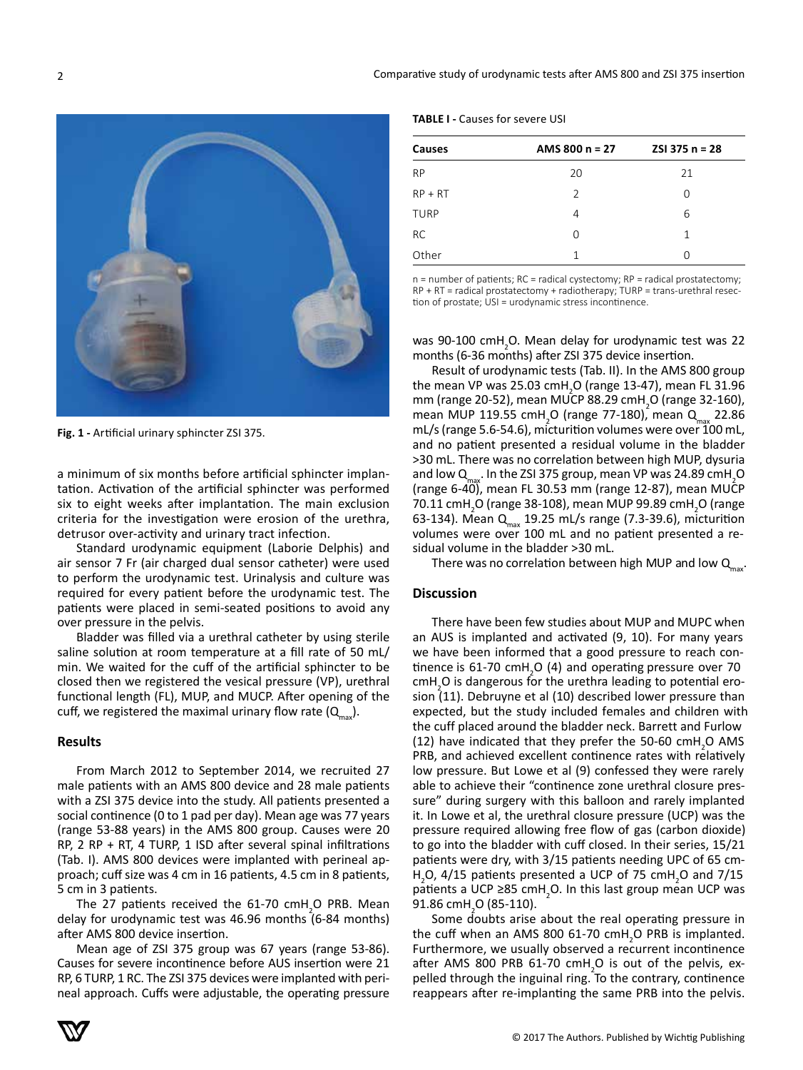

**Fig. 1 -** Artificial urinary sphincter ZSI 375.

a minimum of six months before artificial sphincter implantation. Activation of the artificial sphincter was performed six to eight weeks after implantation. The main exclusion criteria for the investigation were erosion of the urethra, detrusor over-activity and urinary tract infection.

Standard urodynamic equipment (Laborie Delphis) and air sensor 7 Fr (air charged dual sensor catheter) were used to perform the urodynamic test. Urinalysis and culture was required for every patient before the urodynamic test. The patients were placed in semi-seated positions to avoid any over pressure in the pelvis.

Bladder was filled via a urethral catheter by using sterile saline solution at room temperature at a fill rate of 50 mL/ min. We waited for the cuff of the artificial sphincter to be closed then we registered the vesical pressure (VP), urethral functional length (FL), MUP, and MUCP. After opening of the cuff, we registered the maximal urinary flow rate  $(Q_{\text{max}})$ .

### **Results**

From March 2012 to September 2014, we recruited 27 male patients with an AMS 800 device and 28 male patients with a ZSI 375 device into the study. All patients presented a social continence (0 to 1 pad per day). Mean age was 77 years (range 53-88 years) in the AMS 800 group. Causes were 20 RP, 2 RP + RT, 4 TURP, 1 ISD after several spinal infiltrations (Tab. I). AMS 800 devices were implanted with perineal approach; cuff size was 4 cm in 16 patients, 4.5 cm in 8 patients, 5 cm in 3 patients.

The 27 patients received the  $61-70$  cmH<sub>2</sub>O PRB. Mean delay for urodynamic test was 46.96 months (6-84 months) after AMS 800 device insertion.

Mean age of ZSI 375 group was 67 years (range 53-86). Causes for severe incontinence before AUS insertion were 21 RP, 6 TURP, 1 RC. The ZSI 375 devices were implanted with perineal approach. Cuffs were adjustable, the operating pressure

**TABLE I -** Causes for severe USI

| Causes      | AMS 800 $n = 27$ | $2S1375 n = 28$ |
|-------------|------------------|-----------------|
| <b>RP</b>   | 20               | 21              |
| $RP + RT$   | $\mathcal{P}$    | ∩               |
| <b>TURP</b> | 4                | 6               |
| <b>RC</b>   | O                | 1               |
| Other       |                  | ∩               |

n = number of patients; RC = radical cystectomy; RP = radical prostatectomy; RP + RT = radical prostatectomy + radiotherapy; TURP = trans-urethral resection of prostate; USI = urodynamic stress incontinence.

was 90-100 cmH<sub>2</sub>O. Mean delay for urodynamic test was 22 months (6-36 months) after ZSI 375 device insertion.

Result of urodynamic tests (Tab. II). In the AMS 800 group the mean VP was 25.03 cmH<sub>2</sub>O (range 13-47), mean FL 31.96 mm (range 20-52), mean MUCP 88.29 cmH<sub>2</sub>O (range 32-160), mean MUP 119.55 cmH<sub>2</sub>O (range 77-180), mean Q<sub>max</sub> 22.86 mL/s (range 5.6-54.6), micturition volumes were over 100 mL, and no patient presented a residual volume in the bladder >30 mL. There was no correlation between high MUP, dysuria and low  $Q_{\text{max}}$ . In the ZSI 375 group, mean VP was 24.89 cmH<sub>2</sub>O (range 6-40), mean FL 30.53 mm (range 12-87), mean MUCP 70.11 cmH<sub>2</sub>O (range 38-108), mean MUP 99.89 cmH<sub>2</sub>O (range 63-134). Mean Q<sub>max</sub> 19.25 mL/s range (7.3-39.6), micturition volumes were over 100 mL and no patient presented a residual volume in the bladder >30 mL.

There was no correlation between high MUP and low  $Q_{\text{max}}$ .

#### **Discussion**

There have been few studies about MUP and MUPC when an AUS is implanted and activated (9, 10). For many years we have been informed that a good pressure to reach continence is 61-70  $cmH<sub>2</sub>O$  (4) and operating pressure over 70  $cmH<sub>2</sub>O$  is dangerous for the urethra leading to potential erosion  $(11)$ . Debruyne et al  $(10)$  described lower pressure than expected, but the study included females and children with the cuff placed around the bladder neck. Barrett and Furlow (12) have indicated that they prefer the 50-60  $\text{cm}$ H<sub>2</sub>O AMS PRB, and achieved excellent continence rates with relatively low pressure. But Lowe et al (9) confessed they were rarely able to achieve their "continence zone urethral closure pressure" during surgery with this balloon and rarely implanted it. In Lowe et al, the urethral closure pressure (UCP) was the pressure required allowing free flow of gas (carbon dioxide) to go into the bladder with cuff closed. In their series, 15/21 patients were dry, with 3/15 patients needing UPC of 65 cm- $H<sub>2</sub>$ O, 4/15 patients presented a UCP of 75 cm $H<sub>2</sub>$ O and 7/15 patients a UCP ≥85 cmH<sub>2</sub>O. In this last group mean UCP was 91.86 cmH<sub>2</sub>O (85-110).

Some doubts arise about the real operating pressure in the cuff when an AMS 800 61-70  $\text{cm}$ H<sub>2</sub>O PRB is implanted. Furthermore, we usually observed a recurrent incontinence after AMS 800 PRB 61-70  $cmH<sub>2</sub>O$  is out of the pelvis, expelled through the inguinal ring. To the contrary, continence reappears after re-implanting the same PRB into the pelvis.

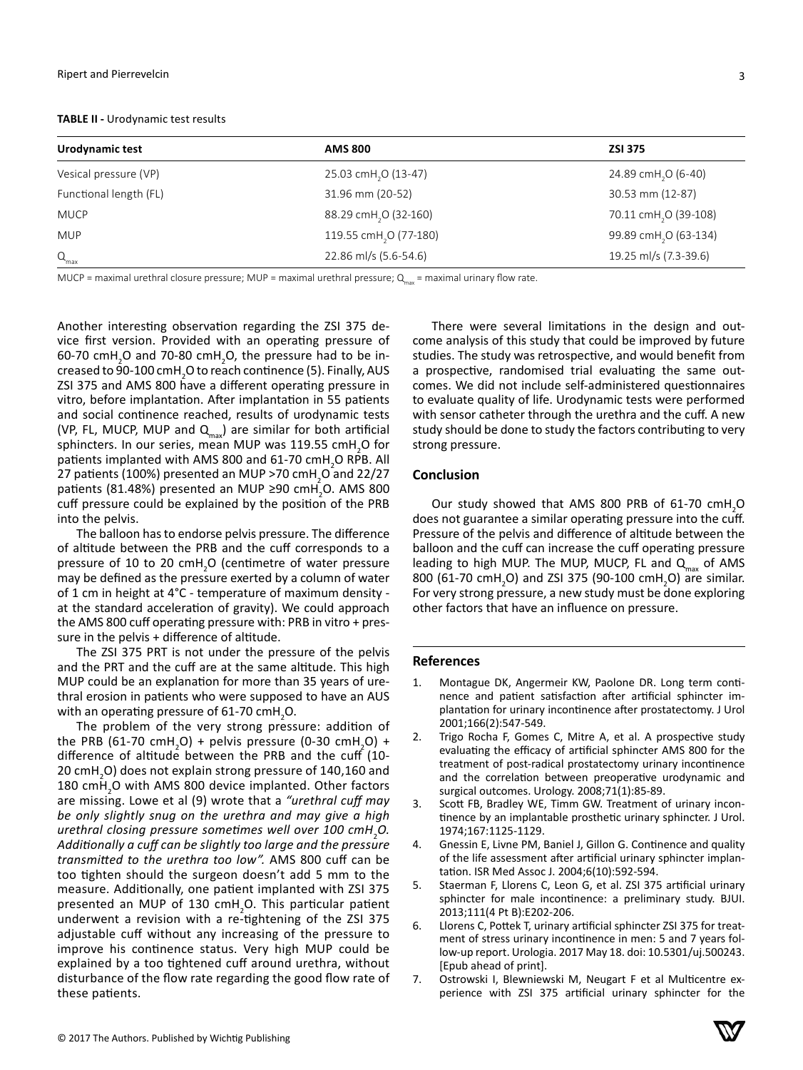#### **TABLE II -** Urodynamic test results

| Urodynamic test        | <b>AMS 800</b>                     | <b>ZSI 375</b>                    |
|------------------------|------------------------------------|-----------------------------------|
| Vesical pressure (VP)  | 25.03 cmH <sub>2</sub> O (13-47)   | 24.89 cmH <sub>2</sub> O (6-40)   |
| Functional length (FL) | 31.96 mm (20-52)                   | 30.53 mm (12-87)                  |
| <b>MUCP</b>            | 88.29 cmH <sub>2</sub> O (32-160)  | 70.11 cmH <sub>2</sub> O (39-108) |
| <b>MUP</b>             | 119.55 cmH <sub>2</sub> O (77-180) | 99.89 cmH <sub>2</sub> O (63-134) |
| $Q_{\text{max}}$       | 22.86 ml/s (5.6-54.6)              | 19.25 ml/s (7.3-39.6)             |

MUCP = maximal urethral closure pressure; MUP = maximal urethral pressure;  $Q_{\text{max}}$  = maximal urinary flow rate.

Another interesting observation regarding the ZSI 375 device first version. Provided with an operating pressure of  $60$ -70 cmH<sub>2</sub>O and 70-80 cmH<sub>2</sub>O, the pressure had to be increased to 90-100 cmH $_{\rm 2}$ O to reach continence (5). Finally, AUS ZSI 375 and AMS 800 have a different operating pressure in vitro, before implantation. After implantation in 55 patients and social continence reached, results of urodynamic tests (VP, FL, MUCP, MUP and  $Q_{\text{max}}$ ) are similar for both artificial sphincters. In our series, mean MUP was 119.55  $\text{cmH}_{2}$ O for patients implanted with AMS 800 and 61-70  $\text{cmH}_{2}$ O RPB. All 27 patients (100%) presented an MUP >70 cmH<sub>2</sub>O and 22/27 patients (81.48%) presented an MUP ≥90 cmH<sub>2</sub>O. AMS 800 cuff pressure could be explained by the position of the PRB into the pelvis.

The balloon has to endorse pelvis pressure. The difference of altitude between the PRB and the cuff corresponds to a pressure of 10 to 20 cmH<sub>2</sub>O (centimetre of water pressure may be defined as the pressure exerted by a column of water of 1 cm in height at 4°C - temperature of maximum density at the standard acceleration of gravity). We could approach the AMS 800 cuff operating pressure with: PRB in vitro + pressure in the pelvis + difference of altitude.

The ZSI 375 PRT is not under the pressure of the pelvis and the PRT and the cuff are at the same altitude. This high MUP could be an explanation for more than 35 years of urethral erosion in patients who were supposed to have an AUS with an operating pressure of 61-70  $\text{cm}$ H<sub>2</sub>O.

The problem of the very strong pressure: addition of the PRB (61-70 cmH<sub>2</sub>O) + pelvis pressure (0-30 cmH<sub>2</sub>O) + difference of altitude between the PRB and the cuff (10- 20 cmH<sub>2</sub>O) does not explain strong pressure of 140,160 and 180 cm $H_2$ O with AMS 800 device implanted. Other factors are missing. Lowe et al (9) wrote that a *"urethral cuff may be only slightly snug on the urethra and may give a high urethral closing pressure sometimes well over 100 cmH*<sup>2</sup> *O. Additionally a cuff can be slightly too large and the pressure transmitted to the urethra too low".* AMS 800 cuff can be too tighten should the surgeon doesn't add 5 mm to the measure. Additionally, one patient implanted with ZSI 375 presented an MUP of 130 cmH<sub>2</sub>O. This particular patient underwent a revision with a re-tightening of the ZSI 375 adjustable cuff without any increasing of the pressure to improve his continence status. Very high MUP could be explained by a too tightened cuff around urethra, without disturbance of the flow rate regarding the good flow rate of these patients.

There were several limitations in the design and outcome analysis of this study that could be improved by future studies. The study was retrospective, and would benefit from a prospective, randomised trial evaluating the same outcomes. We did not include self-administered questionnaires to evaluate quality of life. Urodynamic tests were performed with sensor catheter through the urethra and the cuff. A new study should be done to study the factors contributing to very strong pressure.

## **Conclusion**

Our study showed that AMS 800 PRB of 61-70  $cmH_2O$ does not guarantee a similar operating pressure into the cuff. Pressure of the pelvis and difference of altitude between the balloon and the cuff can increase the cuff operating pressure leading to high MUP. The MUP, MUCP, FL and  $Q_{max}$  of AMS 800 (61-70 cmH<sub>2</sub>O) and ZSI 375 (90-100 cmH<sub>2</sub>O) are similar. For very strong pressure, a new study must be done exploring other factors that have an influence on pressure.

### **References**

- 1. Montague DK, Angermeir KW, Paolone DR. Long term continence and patient satisfaction after artificial sphincter implantation for urinary incontinence after prostatectomy. J Urol 2001;166(2):547-549.
- 2. Trigo Rocha F, Gomes C, Mitre A, et al. A prospective study evaluating the efficacy of artificial sphincter AMS 800 for the treatment of post-radical prostatectomy urinary incontinence and the correlation between preoperative urodynamic and surgical outcomes. Urology. 2008;71(1):85-89.
- 3. Scott FB, Bradley WE, Timm GW. Treatment of urinary incontinence by an implantable prosthetic urinary sphincter. J Urol. 1974;167:1125-1129.
- 4. Gnessin E, Livne PM, Baniel J, Gillon G. Continence and quality of the life assessment after artificial urinary sphincter implantation. ISR Med Assoc J. 2004;6(10):592-594.
- 5. Staerman F, Llorens C, Leon G, et al. ZSI 375 artificial urinary sphincter for male incontinence: a preliminary study. BJUI. 2013;111(4 Pt B):E202-206.
- 6. Llorens C, Pottek T, urinary artificial sphincter ZSI 375 for treatment of stress urinary incontinence in men: 5 and 7 years follow-up report. Urologia. 2017 May 18. doi: 10.5301/uj.500243. [Epub ahead of print].
- 7. Ostrowski I, Blewniewski M, Neugart F et al Multicentre experience with ZSI 375 artificial urinary sphincter for the